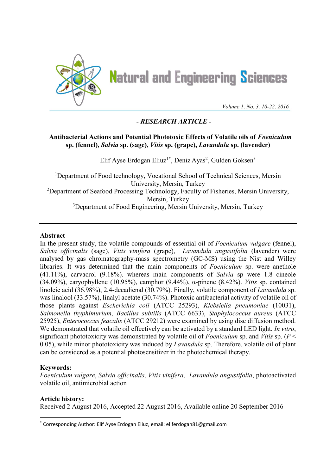

**Natural and Engineering Sciences** 

*Volume 1, No. 3, 10-22, 2016*

# *- RESEARCH ARTICLE -*

# **Antibacterial Actions and Potential Phototoxic Effects of Volatile oils of** *Foeniculum* **sp. (fennel),** *Salvia* **sp. (sage),** *Vitis* **sp. (grape),** *Lavandula* **sp. (lavender)**

Elif Ayse Erdogan Eliuz<sup>1\*</sup>, Deniz Ayas<sup>2</sup>, Gulden Goksen<sup>3</sup>

<sup>1</sup>Department of Food technology, Vocational School of Technical Sciences, Mersin University, Mersin, Turkey <sup>2</sup>Department of Seafood Processing Technology, Faculty of Fisheries, Mersin University, Mersin, Turkey <sup>3</sup>Department of Food Engineering, Mersin University, Mersin, Turkey

### **Abstract**

In the present study, the volatile compounds of essential oil of *Foeniculum vulgare* (fennel), *Salvia officinalis* (sage), *Vitis vinifera* (grape), *Lavandula angustifolia* (lavender) were analysed by gas chromatography-mass spectrometry (GC-MS) using the Nist and Willey libraries. It was determined that the main components of *Foeniculum* sp. were anethole (41.11%), carvacrol (9.18%). whereas main components of *Salvia* sp were 1.8 cineole (34.09%), caryophyllene (10.95%), camphor (9.44%), α-pinene (8.42%). *Vitis* sp. contained linoleic acid (36.98%), 2,4-decadienal (30.79%). Finally, volatile component of *Lavandula* sp. was linalool (33.57%), linalyl acetate (30.74%). Photoxic antibacterial activity of volatile oil of those plants against *Escherichia coli* (ATCC 25293), *Klebsiella pneumoniae* (10031), *Salmonella thyphimurium*, *Bacillus subtilis* (ATCC 6633), *Staphylococcus aureus* (ATCC 25925), *Enterococcus feacalis* (ATCC 29212) were examined by using disc diffusion method. We demonstrated that volatile oil effectively can be activated by a standard LED light. *In vitro*, significant phototoxicity was demonstrated by volatile oil of *Foeniculum* sp. and *Vitis* sp. (*P* < 0.05), while minor phototoxicity was induced by *Lavandula* sp. Therefore, volatile oil of plant can be considered as a potential photosensitizer in the photochemical therapy.

# **Keywords:**

*Foeniculum vulgare*, *Salvia officinalis*, *Vitis vinifera*, *Lavandula angustifolia*, photoactivated volatile oil, antimicrobial action

# **Article history:**

Received 2 August 2016, Accepted 22 August 2016, Available online 20 September 2016

<sup>\*</sup> Corresponding Author: Elif Ayse Erdogan Eliuz, email: eliferdogan81@gmail.com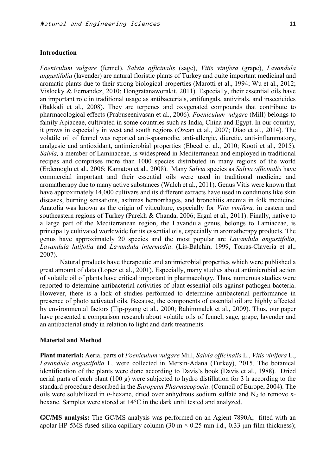### **Introduction**

*Foeniculum vulgare* (fennel), *Salvia officinalis* (sage), *Vitis vinifera* (grape), *Lavandula angustifolia* (lavender) are natural floristic plants of Turkey and quite important medicinal and aromatic plants due to their strong biological properties (Marotti et al., 1994; Wu et al., 2012; Vislocky & Fernandez, 2010; Hongratanaworakit, 2011). Especially, their essential oils have an important role in traditional usage as antibacterials, antifungals, antivirals, and insecticides (Bakkali et al., 2008). They are terpenes and oxygenated compounds that contribute to pharmacological effects (Prabuseenivasan et al., 2006). *Foeniculum vulgare* (Mill) belongs to family Apiaceae, cultivated in some countries such as India, China and Egypt. In our country, it grows in especially in west and south regions (Ozcan et al., 2007; Diao et al., 2014). The volatile oil of fennel was reported anti-spasmodic, anti-allergic, diuretic, anti-inflammatory, analgesic and antioxidant, antimicrobial properties (Ebeed et al., 2010; Kooti et al., 2015). *Salvia,* a member of Laminaceae, is widespread in Mediterranean and employed in traditional recipes and comprises more than 1000 species distributed in many regions of the world (Erdemoglu et al., 2006; Kamatou et al., 2008). Many *Salvia* species as *Salvia officinalis* have commercial important and their essential oils were used in traditional medicine and aromatherapy due to many active substances (Walch et al., 2011). Genus Vitis were known that have approximately 14,000 cultivars and its different extracts have used in conditions like skin diseases, burning sensations, asthmas hemorrhages, and bronchitis anemia in folk medicine. Anatolia was known as the origin of viticulture, especially for *Vitis vinifera,* in eastern and southeastern regions of Turkey (Parekh & Chanda, 2006; Ergul et al., 2011). Finally, native to a large part of the Mediterranean region, the Lavandula genus, belongs to Lamiaceae, is principally cultivated worldwide for its essential oils, especially in aromatherapy products. The genus have approximately 20 species and the most popular are *Lavandula angustifolia*, *Lavandula latifolia* and *Lavandula intermedia*. (Lis-Balchin, 1999, Torras-Claveria et al., 2007).

Natural products have therapeutic and antimicrobial properties which were published a great amount of data (Lopez et al., 2001). Especially, many studies about antimicrobial action of volatile oil of plants have critical important in pharmacology. Thus, numerous studies were reported to determine antibacterial activities of plant essential oils against pathogen bacteria. However, there is a lack of studies performed to determine antibacterial performance in presence of photo activated oils. Because, the components of essential oil are highly affected by environmental factors (Tip-pyang et al., 2000; Rahimmalek et al., 2009). Thus, our paper have presented a comparison research about volatile oils of fennel, sage, grape, lavender and an antibacterial study in relation to light and dark treatments.

#### **Material and Method**

**Plant material:** Aerial parts of *Foeniculum vulgare* Mill, *Salvia officinalis* L., *Vitis vinifera* L., *Lavandula angustifolia* L. were collected in Mersin-Adana (Turkey), 2015. The botanical identification of the plants were done according to Davis's book (Davis et al., 1988). Dried aerial parts of each plant (100 g) were subjected to hydro distillation for 3 h according to the standard procedure described in the *European Pharmacopoeia*. (Council of Europe, 2004). The oils were solubilized in *n*-hexane, dried over anhydrous sodium sulfate and N<sub>2</sub> to remove *n*hexane. Samples were stored at +4°C in the dark until tested and analyzed.

**GC/MS analysis:** The GC/MS analysis was performed on an Agient 7890A; fitted with an apolar HP-5MS fused-silica capillary column (30 m  $\times$  0.25 mm i.d., 0.33 µm film thickness);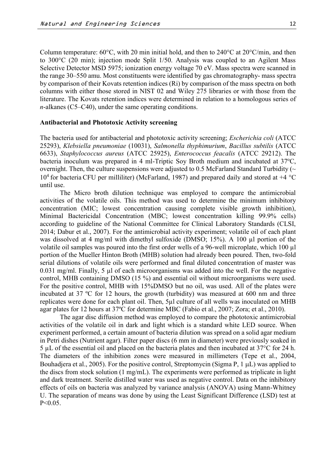Column temperature: 60°C, with 20 min initial hold, and then to 240°C at 20°C/min, and then to 300°C (20 min); injection mode Split 1/50. Analysis was coupled to an Agilent Mass Selective Detector MSD 5975; ionization energy voltage 70 eV. Mass spectra were scanned in the range 30–550 amu. Most constituents were identified by gas chromatography- mass spectra by comparison of their Kovats retention indices (Ri) by comparison of the mass spectra on both columns with either those stored in NIST 02 and Wiley 275 libraries or with those from the literature. The Kovats retention indices were determined in relation to a homologous series of *n*-alkanes (C5–C40), under the same operating conditions.

#### **Antibacterial and Phototoxic Activity screening**

The bacteria used for antibacterial and phototoxic activity screening; *Escherichia coli* (ATCC 25293), *Klebsiella pneumoniae* (10031), *Salmonella thyphimurium*, *Bacillus subtilis* (ATCC 6633), *Staphylococcus aureus* (ATCC 25925), *Enterococcus feacalis* (ATCC 29212). The bacteria inoculum was prepared in 4 ml-Triptic Soy Broth medium and incubated at  $37^{\circ}$ C, overnight. Then, the culture suspensions were adjusted to 0.5 McFarland Standard Turbidity ( $\sim$  $10^4$  for bacteria CFU per milliliter) (McFarland, 1987) and prepared daily and stored at  $+4$  °C until use.

The Micro broth dilution technique was employed to compare the antimicrobial activities of the volatile oils. This method was used to determine the minimum inhibitory concentration (MIC; lowest concentration causing complete visible growth inhibition), Minimal Bactericidal Concentration (MBC; lowest concentration killing 99.9% cells) according to guideline of the National Committee for Clinical Laboratory Standards (CLSI, 2014; Dabur et al., 2007). For the antimicrobial activity experiment; volatile oil of each plant was dissolved at 4 mg/ml with dimethyl sulfoxide (DMSO; 15%). A 100 µl portion of the volatile oil samples was poured into the first order wells of a 96-well microplate, which 100 µl portion of the Mueller Hinton Broth (MHB) solution had already been poured. Then, two-fold serial dilutions of volatile oils were performed and final diluted concentration of master was 0.031 mg/ml. Finally, 5 µl of each microorganisms was added into the well. For the negative control, MHB containing DMSO (15 %) and essential oil without microorganisms were used. For the positive control, MHB with 15%DMSO but no oil, was used. All of the plates were incubated at 37 ºC for 12 hours, the growth (turbidity) was measured at 600 nm and three replicates were done for each plant oil. Then, 5µl culture of all wells was inoculated on MHB agar plates for 12 hours at 37ºC for determine MBC (Fabio et al., 2007; Zora; et al., 2010).

The agar disc diffusion method was employed to compare the phototoxic antimicrobial activities of the volatile oil in dark and light which is a standard white LED source. When experiment performed, a certain amount of bacteria dilution was spread on a solid agar medium in Petri dishes (Nutrient agar). Filter paper discs (6 mm in diameter) were previously soaked in 5 µL of the essential oil and placed on the bacteria plates and then incubated at 37°C for 24 h. The diameters of the inhibition zones were measured in millimeters [\(Tepe et al., 2004,](http://www.ncbi.nlm.nih.gov/pmc/articles/PMC3609378/#b19)  [Bouhadjera et al., 2005\). F](http://www.ncbi.nlm.nih.gov/pmc/articles/PMC3609378/#b19)or the positive control, Streptomycin (Sigma P,  $1 \mu L$ ) was applied to the discs from stock solution (1 mg/mL). The experiments were performed as triplicate in light and dark treatment. Sterile distilled water was used as negative control. Data on the inhibitory effects of oils on bacteria was analyzed by variance analysis (ANOVA) using Mann-Whitney U. The separation of means was done by using the Least Significant Difference (LSD) test at P˂0.05.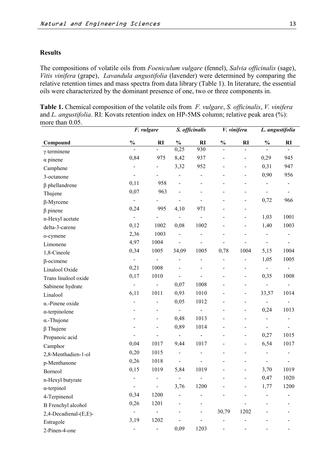### **Results**

The compositions of volatile oils from *Foeniculum vulgare* (fennel), *Salvia officinalis* (sage), *Vitis vinifera* (grape), *Lavandula angustifolia* (lavender) were determined by comparing the relative retention times and mass spectra from data library (Table 1). In literature, the essential oils were characterized by the dominant presence of one, two or three components in.

**Table 1.** Chemical composition of the volatile oils from *F. vulgare*, *S. officinalis*, *V. vinifera* and *L. angustifolia*. RI: Kovats retention index on HP-5MS column; relative peak area (%): more than 0.05.

|                           |                              | F. vulgare               |                              | S. officinalis           |                | V. vinifera              |                          | L. angustifolia              |
|---------------------------|------------------------------|--------------------------|------------------------------|--------------------------|----------------|--------------------------|--------------------------|------------------------------|
| Compound                  | $\frac{1}{2}$                | RI                       | $\frac{0}{0}$                | <b>RI</b>                | $\%$           | <b>RI</b>                | $\frac{0}{0}$            | $\mathbf{R}$                 |
| $\gamma$ terminene        |                              | $\overline{a}$           | 0,25                         | 930                      |                |                          |                          |                              |
| $\alpha$ pinene           | 0,84                         | 975                      | 8,42                         | 937                      |                | $\overline{\phantom{0}}$ | 0,29                     | 945                          |
| Camphene                  |                              |                          | 3,32                         | 952                      |                | $\overline{a}$           | 0,31                     | 947                          |
| 3-octanone                | $\overline{\phantom{a}}$     |                          |                              | -                        |                | $\overline{a}$           | 0,90                     | 956                          |
| $\beta$ phellandrene      | 0,11                         | 958                      |                              |                          |                |                          | $\overline{\phantom{0}}$ |                              |
| Thujene                   | 0,07                         | 963                      |                              |                          |                |                          |                          |                              |
| $\beta$ -Myrcene          | $\blacksquare$               |                          |                              |                          |                |                          | 0,72                     | 966                          |
| $\beta$ pinene            | 0,24                         | 995                      | 4,10                         | 971                      |                |                          |                          |                              |
| n-Hexyl acetate           | $\blacksquare$               |                          |                              |                          |                | -                        | 1,03                     | 1001                         |
| delta-3-carene            | 0,12                         | 1002                     | 0,08                         | 1002                     |                | $\overline{a}$           | 1,40                     | 1003                         |
| o-cymene                  | 2,36                         | 1003                     |                              |                          |                |                          |                          | $\qquad \qquad \blacksquare$ |
| Limonene                  | 4,97                         | 1004                     |                              |                          |                |                          |                          | $\blacksquare$               |
| 1,8-Cineole               | 0,34                         | 1005                     | 34,09                        | 1005                     | 0,78           | 1004                     | 5,15                     | 1004                         |
| $\beta$ -ocimene          | $\blacksquare$               |                          |                              |                          |                |                          | 1,05                     | 1005                         |
| Linalool Oxide            | 0,21                         | 1008                     |                              |                          |                | $\overline{a}$           | $\blacksquare$           | $\blacksquare$               |
| Trans linalool oxide      | 0,17                         | 1010                     |                              |                          | $\overline{a}$ | $\overline{\phantom{0}}$ | 0,35                     | 1008                         |
| Sabinene hydrate          |                              |                          | 0,07                         | 1008                     |                |                          |                          |                              |
| Linalool                  | 6,11                         | 1011                     | 0,93                         | 1010                     |                | -                        | 33,57                    | 1014                         |
| $\alpha$ -Pinene oxide    |                              | ÷,                       | 0,05                         | 1012                     |                | $\blacksquare$           | $\blacksquare$           | $\blacksquare$               |
| $\alpha$ -terpinolene     |                              | $\overline{\phantom{0}}$ | $\frac{1}{2}$                | $\overline{a}$           |                | $\overline{\phantom{0}}$ | 0,24                     | 1013                         |
| $\alpha$ -Thujone         |                              | $\overline{\phantom{0}}$ | 0,48                         | 1013                     |                |                          |                          |                              |
| $\beta$ Thujene           |                              | -                        | 0,89                         | 1014                     |                |                          |                          |                              |
| Propanoic acid            |                              |                          | $\blacksquare$               | $\overline{\phantom{a}}$ |                | $\overline{a}$           | 0,27                     | 1015                         |
| Camphor                   | 0,04                         | 1017                     | 9,44                         | 1017                     |                | $\overline{\phantom{0}}$ | 6,54                     | 1017                         |
| 2,8-Menthadien-1-ol       | 0,20                         | 1015                     |                              |                          |                |                          |                          |                              |
| p-Menthanone              | 0,26                         | 1018                     | $\qquad \qquad \blacksquare$ |                          |                |                          |                          | -                            |
| Borneol                   | 0,15                         | 1019                     | 5,84                         | 1019                     |                |                          | 3,70                     | 1019                         |
| n-Hexyl butyrate          |                              |                          |                              |                          |                |                          | 0,47                     | 1020                         |
| $\alpha$ -terpinol        | $\qquad \qquad \blacksquare$ | $\blacksquare$           | 3,76                         | 1200                     |                |                          | 1,77                     | 1200                         |
| 4-Terpinenol              | 0,34                         | 1200                     |                              |                          |                |                          |                          |                              |
| <b>B</b> Frenchyl alcohol | 0,26                         | 1201                     |                              |                          |                |                          |                          |                              |
| 2,4-Decadienal-(E,E)-     | $\overline{\phantom{0}}$     | -                        |                              |                          | 30,79          | 1202                     |                          |                              |
| Estragole                 | 3,19                         | 1202                     |                              |                          |                |                          |                          |                              |
| 2-Pinen-4-one             |                              | $\overline{\phantom{0}}$ | 0,09                         | 1203                     | $\blacksquare$ |                          |                          | $\blacksquare$               |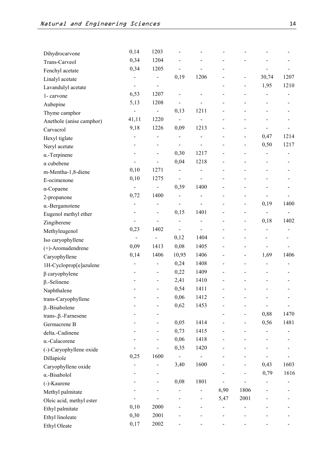| Dihydrocarvone                 | 0,14                         | 1203                     |                              |                              |                          |                              |                              |                              |
|--------------------------------|------------------------------|--------------------------|------------------------------|------------------------------|--------------------------|------------------------------|------------------------------|------------------------------|
| Trans-Carveol                  | 0,34                         | 1204                     |                              |                              |                          |                              |                              |                              |
| Fenchyl acetate                | 0,34                         | 1205                     |                              |                              |                          |                              |                              |                              |
| Linalyl acetate                | $\overline{\phantom{0}}$     | -                        | 0,19                         | 1206                         |                          |                              | 30,74                        | 1207                         |
| Lavandulyl acetate             | $\overline{a}$               | $\overline{\phantom{0}}$ |                              |                              |                          | $\qquad \qquad \blacksquare$ | 1,95                         | 1210                         |
| 1-carvone                      | 6,53                         | 1207                     |                              |                              |                          |                              |                              |                              |
| Aubepine                       | 5,13                         | 1208                     |                              |                              |                          |                              |                              |                              |
| Thyme camphor                  |                              | $\overline{\phantom{0}}$ | 0,13                         | 1211                         |                          |                              |                              |                              |
| Anethole (anise camphor)       | 41,11                        | 1220                     | $\overline{a}$               |                              |                          |                              |                              |                              |
| Carvacrol                      | 9,18                         | 1226                     | 0,09                         | 1213                         |                          |                              |                              |                              |
| Hexyl tiglate                  | $\overline{a}$               | $\overline{\phantom{0}}$ | $\frac{1}{2}$                |                              |                          |                              | 0,47                         | 1214                         |
| Neryl acetate                  |                              |                          | $\overline{a}$               | $\overline{\phantom{0}}$     |                          | $\overline{\phantom{a}}$     | 0,50                         | 1217                         |
| $\alpha$ -Terpinene            | L,                           | -                        | 0,30                         | 1217                         |                          |                              |                              |                              |
| $\alpha$ cubebene              |                              |                          | 0,04                         | 1218                         |                          |                              |                              |                              |
| m-Mentha-1,8-diene             | 0,10                         | 1271                     | $\frac{1}{2}$                |                              |                          |                              |                              |                              |
| E-ocimenone                    | 0,10                         | 1275                     | $\overline{a}$               | $\qquad \qquad \blacksquare$ |                          |                              |                              |                              |
| $\alpha$ -Copaene              | $\blacksquare$               | $\overline{\phantom{0}}$ | 0,39                         | 1400                         |                          |                              |                              |                              |
| 2-propanone                    | 0,72                         | 1400                     | $\overline{\phantom{0}}$     |                              |                          |                              |                              |                              |
| α.-Bergamotene                 | $\overline{\phantom{0}}$     |                          | $\overline{\phantom{0}}$     |                              |                          |                              | 0,19                         | 1400                         |
| Eugenol methyl ether           | $\frac{1}{2}$                |                          | 0,15                         | 1401                         |                          |                              |                              |                              |
| Zingiberene                    |                              |                          | $\overline{a}$               |                              |                          |                              | 0,18                         | 1402                         |
| Methyleugenol                  | 0,23                         | 1402                     | $\overline{\phantom{0}}$     |                              |                          |                              |                              |                              |
| Iso caryophyllene              | $\qquad \qquad \blacksquare$ | $\frac{1}{2}$            | 0,12                         | 1404                         |                          |                              |                              |                              |
| (+)-Aromadendrene              | 0,09                         | 1413                     | 0,08                         | 1405                         |                          |                              |                              |                              |
| Caryophyllene                  | 0,14                         | 1406                     | 10,95                        | 1406                         |                          |                              | 1,69                         | 1406                         |
| 1H-Cycloprop[e]azulene         | -                            | -                        | 0,24                         | 1408                         |                          |                              | -                            |                              |
| $\beta$ caryophylene           |                              | -                        | 0,22                         | 1409                         |                          |                              |                              |                              |
| $\beta$ .-Selinene             |                              | -                        | 2,41                         | 1410                         |                          |                              |                              |                              |
| Naphthalene                    |                              |                          | 0,54                         | 1411                         |                          |                              |                              |                              |
| trans-Caryophyllene            |                              |                          | 0,06                         | 1412                         |                          |                              |                              |                              |
| $\beta$ .-Bisabolene           |                              |                          | 0,62                         | 1453                         |                          |                              | $\qquad \qquad \blacksquare$ | $\qquad \qquad \blacksquare$ |
| $trans$ -. $\beta$ .-Farnesene |                              |                          |                              |                              |                          |                              | 0,88                         | 1470                         |
| Germacrene B                   |                              | -                        | 0,05                         | 1414                         |                          |                              | 0,56                         | 1481                         |
| delta.-Cadinene                | -                            | $\overline{\phantom{0}}$ | 0,73                         | 1415                         |                          | $\blacksquare$               |                              |                              |
| α.-Calacorene                  |                              |                          | 0,06                         | 1418                         |                          |                              |                              |                              |
| (-)-Caryophyllene oxide        |                              |                          | 0,35                         | 1420                         |                          |                              |                              |                              |
| Dillapiole                     | 0,25                         | 1600                     | $\overline{\phantom{0}}$     | $\frac{1}{2}$                |                          |                              |                              |                              |
| Caryophyllene oxide            |                              |                          | 3,40                         | 1600                         |                          |                              | 0,43                         | 1603                         |
| α.-Bisabolol                   |                              |                          |                              |                              |                          |                              | 0,79                         | 1616                         |
| (-)-Kaurene                    |                              | $\overline{\phantom{0}}$ | 0,08                         | 1801                         |                          |                              |                              |                              |
| Methyl palmitate               |                              |                          | $\qquad \qquad \blacksquare$ | $\overline{\phantom{0}}$     | 6,90                     | 1806                         |                              |                              |
| Oleic acid, methyl ester       |                              |                          |                              | $\overline{\phantom{0}}$     | 5,47                     | 2001                         |                              |                              |
| Ethyl palmitate                | 0,10                         | 2000                     |                              |                              | $\overline{\phantom{0}}$ |                              |                              |                              |
| Ethyl linoleate                | 0,30                         | 2001                     |                              |                              |                          |                              |                              |                              |
| Ethyl Oleate                   | 0,17                         | 2002                     |                              |                              |                          |                              |                              |                              |
|                                |                              |                          |                              |                              |                          |                              |                              |                              |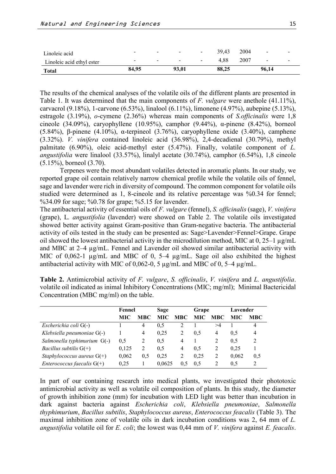| <b>Total</b>              | 84,95                    |                          | 93.01          |        | 88.25 |      | 96,14          |                          |
|---------------------------|--------------------------|--------------------------|----------------|--------|-------|------|----------------|--------------------------|
| Linoleic acid ethyl ester | $\overline{\phantom{0}}$ | $\sim$                   | $\blacksquare$ | $\sim$ | 4.88  | 2007 | $\sim$         | $\blacksquare$           |
| Linoleic acid             | -                        | $\overline{\phantom{0}}$ | $\blacksquare$ | $\sim$ | 39.43 | 2004 | $\blacksquare$ | $\overline{\phantom{a}}$ |

The results of the chemical analyses of the volatile oils of the different plants are presented in Table 1. It was determined that the main components of *F. vulgare* were anethole (41.11%), carvacrol (9.18%), 1-carvone (6.53%), linalool (6.11%), limonene (4.97%), aubepine (5.13%), estragole (3.19%), *o*-cymene (2.36%) whereas main components of *S.officinalis* were 1,8 cineole (34.09%), caryophyllene (10.95%), camphor (9.44%),  $\alpha$ -pinene (8.42%), borneol (5.84%), β-pinene (4.10%), α-terpineol (3.76%), caryophyllene oxide (3.40%), camphene (3.32%). *V. vinifera* contained linoleic acid (36.98%), 2,4-decadienal (30.79%), methyl palmitate (6.90%), oleic acid-methyl ester (5.47%). Finally, volatile component of *L. angustifolia* were linalool (33.57%), linalyl acetate (30.74%), camphor (6.54%), 1,8 cineole (5.15%), borneol (3.70).

Terpenes were the most abundant volatiles detected in aromatic plants. In our study, we reported grape oil contain relatively narrow chemical profile while the volatile oils of fennel, sage and lavender were rich in diversity of compound. The common component for volatile oils studied were determined as 1, 8-cineole and its relative percentage was %0.34 for fennel; %34.09 for sage; %0.78 for grape; %5.15 for lavender.

The antibacterial activity of essential oils of *F. vulgare* (fennel), *S. officinalis* (sage), *V. vinifera* (grape), L*. angustifolia* (lavender) were showed on Table 2. The volatile oils investigated showed better activity against Gram-positive than Gram-negative bacteria. The antibacterial activity of oils tested in the study can be presented as: Sage>Lavender>Fennel>Grape. Grape oil showed the lowest antibacterial activity in the microdilution method, MIC at  $0, 25-1 \mu g/mL$ and MBC at 2–4 µg/mL. Fennel and Lavender oil showed similar antibacterial activity with MIC of 0,062-1  $\mu$ g/mL and MBC of 0, 5–4  $\mu$ g/mL. Sage oil also exhibited the highest antibacterial activity with MIC of 0,062-0, 5 µg/mL and MBC of 0, 5–4 µg/mL.

|                                     | Fennel |                | Sage   |                | Grape      |            | Lavender |                |
|-------------------------------------|--------|----------------|--------|----------------|------------|------------|----------|----------------|
|                                     | MIC    | MBC.           | MIC.   | <b>MBC</b>     | <b>MIC</b> | <b>MBC</b> | MIC.     | <b>MBC</b>     |
| Escherichia coli G(-)               |        | $\overline{4}$ | 0.5    |                |            | >4         |          | 4              |
| Klebsiella pneumoniae G(-)          |        | $\overline{4}$ | 0.25   | 2              | 0.5        | 4          | 0.5      | $\overline{4}$ |
| Salmonella typhimurium $G(-)$       | 0.5    | 2              | 0.5    | $\overline{4}$ |            | 2          | 0.5      | 2              |
| <i>Bacillus subtilis</i> $G(+)$     | 0,125  | 2              | 0.5    | $\overline{4}$ | 0.5        | 2          | 0.25     |                |
| Staphylococcus aureus $G(+)$        | 0,062  | 0.5            | 0.25   | 2              | 0.25       | 2          | 0.062    | 0.5            |
| <i>Enterococcus faecalis</i> $G(+)$ | 0.25   |                | 0.0625 |                | 0.5        | 2          | 0.5      |                |

**Table 2.** Antimicrobial activity of *F. vulgare*, *S. officinalis*, *V. vinifera* and *L. angustifolia*. volatile oil indicated as inimal Inhibitory Concentrations (MIC; mg/ml); Minimal Bactericidal Concentration (MBC mg/ml) on the table.

In part of our containing research into medical plants, we investigated their phototoxic antimicrobial activity as well as volatile oil composition of plants. In this study, the diameter of growth inhibition zone (mm) for incubation with LED light was better than incubation in dark against bacteria against *Escherichia coli*, *Klebsiella pneumoniae*, *Salmonella thyphimurium*, *Bacillus subtilis*, *Staphylococcus aureus*, *Enterococcus feacalis* (Table 3). The maximal inhibition zone of volatile oils in dark incubation conditions was 2, 64 mm of *L. angustifolia* volatile oil for *E. coli*; the lowest was 0,44 mm of *V. vinifera* against *E. feacalis*.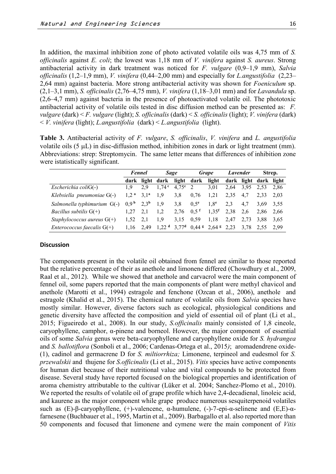In addition, the maximal inhibition zone of photo activated volatile oils was 4,75 mm of *S. officinalis* against *E. coli*; the lowest was 1,18 mm of *V. vinifera* against *S. aureus*. Strong antibacterial activity in dark treatment was noticed for *F. vulgare* (0,9–1,9 mm), *Salvia officinalis* (1,2–1,9 mm), *V. vinifera* (0,44–2,00 mm) and especially for *L.angustifolia* (2,23– 2,64 mm) against bacteria. More strong antibacterial activity was shown for *Foeniculum* sp. (2,1–3,1 mm), *S. officinalis* (2,76–4,75 mm), *V. vinifera* (1,18–3,01 mm) and for *Lavandula* sp. (2,6–4,7 mm) against bacteria in the presence of photoactivated volatile oil. The phototoxic antibacterial activity of volatile oils tested in disc diffusion method can be presented as: *F. vulgare* (dark) < *F. vulgare* (light); *S. officinalis* (dark) < *S. officinalis* (light); *V. vinifera* (dark) < *V. vinifera* (light); *L.angustifolia* (dark) < *L.angustifolia* (light).

**Table 3.** Antibacterial activity of *F. vulgare*, *S. officinalis*, *V. vinifera* and *L. angustifolia* volatile oils  $(5 \mu L)$  in disc-diffusion method, inhibition zones in dark or light treatment (mm). Abbreviations: strep: Streptomycin. The same letter means that differences of inhibition zone were istatistically significant.

|                                     | Fennel           |                  | Sage                |                  | <b>Grape</b>                                          |                     | Lavender |      | Strep.                |      |
|-------------------------------------|------------------|------------------|---------------------|------------------|-------------------------------------------------------|---------------------|----------|------|-----------------------|------|
|                                     | dark             |                  | light dark          |                  | light dark                                            | light               |          |      | dark light dark light |      |
| Escherichia coli $G(-)$             | 19               | 2.9              | 1.74 <sup>c</sup>   | $4.75^{\circ}$ 2 |                                                       | 3,01                | 2.64     | 3.95 | 2.53                  | 2,86 |
| Klebsiella pneumoniae $G(-)$        | 1.2 <sup>a</sup> | $3.1^a$          | 1.9                 | 3.8              | 0.76                                                  | 1.21                | 2.35     | 4.7  | 2.33                  | 2,03 |
| Salmonella typhimurium G(-)         | 0.9 <sup>b</sup> | 2.3 <sup>b</sup> | 1.9                 | 3.8              | $0.5^e$                                               | 1.8 <sup>e</sup>    | 2.3      | 4.7  | 3.69                  | 3.55 |
| <i>Bacillus subtilis</i> $G(+)$     | 1.27             | 2,1              | 1.2                 | 2.76             | $0.5$ <sup>f</sup>                                    | $1,35$ <sup>f</sup> | 2,38     | 2.6  | 2.86                  | 2.66 |
| Staphylococcus aureus $G(+)$        | 1.52             | 2.1              | 1.9                 | 3.15             | 0.59                                                  | 1,18                | 2,47     | 2.73 | 3,88                  | 3.65 |
| <i>Enterococcus faecalis</i> $G(+)$ | 1,16             | 2.49             | $1,22$ <sup>d</sup> |                  | 3,77 <sup>d</sup> 0,44 <sup>g</sup> 2,64 <sup>g</sup> |                     | 2,23     |      | 3,78 2,55             | 2.99 |

### **Discussion**

The components present in the volatile oil obtained from fennel are similar to those reported but the relative percentage of their as anethole and limonene differed (Chowdhury et al., 2009, Raal et al., 2012). While we showed that anethole and carvacrol were the main component of fennel oil, some papers reported that the main components of plant were methyl chavicol and anethole (Marotti et al., 1994) estragole and fenchone (Ozcan et al., 2006), anethole and estragole (Khalid et al., 2015). The chemical nature of volatile oils from *Salvia* species have mostly similar. However, diverse factors such as ecological, physiological conditions and genetic diversity have affected the composition and yield of essential oil of plant (Li et al., 2015; Figueiredo et al., 2008). In our study, *S.officinalis* mainly consisted of 1,8 cineole, caryophyllene, camphor, α-pinene and borneol. However, the major component of essential oils of some *Salvia* genus were beta-caryophyllene and caryophyllene oxide for *S. hydrangea*  and *S. ballotiflora* (Sonboli et al., 2006; Cardenas-Ortega et al., 2015*)*; aromadendrene oxide- (1), cadinol and germacrene D for *S. miltiorrhiza;* Limonene, terpineol and eudesmol for *S. przewalskii* and thujene for *S.officinalis* (Li et al., 2015). *Vitis* species have active components for human diet because of their nutritional value and vital compounds to be protected from disease. Several study have reported focused on the biological properties and identification of aroma chemistry attributable to the cultivar (Lüker et al. 2004; Sanchez-Plomo et al., 2010). We reported the results of volatile oil of grape profile which have 2,4-decadienal, linoleic acid, and kaurene as the major component while grape produce numerous sesquiterpenoid volatiles such as  $(E)$ -β-caryophyllene,  $(+)$ -valencene,  $\alpha$ -humulene,  $(-)$ -7-epi- $\alpha$ -selinene and  $(E,E)$ - $\alpha$ farnesene (Buchbauer et al., 1995, Martin et al., 2009). Barbagallo et al. also reported more than 50 components and focused that limonene and cymene were the main component of *Vitis*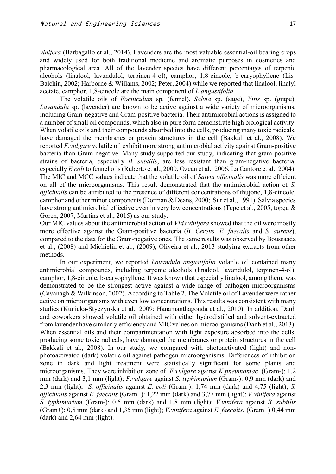*vinifera* (Barbagallo et al., 2014). Lavenders are the most valuable essential-oil bearing crops and widely used for both traditional medicine and aromatic purposes in cosmetics and pharmacological area. All of the lavender species have different percentages of terpenic alcohols (linalool, lavandulol, terpinen-4-ol), camphor, 1,8-cineole, b-caryophyllene (Lis-Balchin, 2002; Harborne & Willams, 2002; Peter, 2004) while we reported that linalool, linalyl acetate, camphor, 1,8-cineole are the main component of *L.angustifolia.*

The volatile oils of *Foeniculum* sp. (fennel), *Salvia* sp. (sage), *Vitis* sp. (grape), *Lavandula* sp. (lavender) are known to be active against a wide variety of microorganisms, including Gram-negative and Gram-positive bacteria. Their antimicrobial actions is assigned to a number of small oil compounds, which also in pure form demonstrate high biological activity. When volatile oils and their compounds absorbed into the cells, producing many toxic radicals, have damaged the membranes or protein structures in the cell (Bakkali et al., 2008). We reported *F.vulgare* volatile oil exhibit more strong antimicrobial activity against Gram-positive bacteria than Gram negative. Many study supported our study, indicating that gram-positive strains of bacteria, especially *B. subtilis*, are less resistant than gram-negative bacteria, especially *E.coli* to fennel oils (Ruberto et al., 2000, Ozcan et al., 2006, La Cantore et al., 2004). The MIC and MCC values indicate that the volatile oil of *Salvia officinalis* was more efficient on all of the microorganisms. This result demonstrated that the antimicrobial action of *S. officinalis* can be attributed to the presence of different concentrations of thujone, 1,8-cineole, camphor and other minor components (Dorman & Deans, 2000; Sur et al., 1991). Salvia species have strong antimicrobial effective even in very low concentrations (Tepe et al., 2005, topçu & Goren, 2007, Martins et al., 2015) as our study.

Our MIC values about the antimicrobial action of *Vitis vinifera* showed that the oil were mostly more effective against the Gram-positive bacteria (*B. Cereus, E. faecalis* and *S. aureus*), compared to the data for the Gram-negative ones. The same results was observed by Boussaada et al., (2008) and Michielin et al., (2009), Oliveira et al., 2013 studying extracts from other methods.

In our experiment, we reported *Lavandula angustifolia* volatile oil contained many antimicrobial compounds, including terpenic alcohols (linalool, lavandulol, terpinen-4-ol), camphor, 1,8-cineole, b-caryophyllene. It was known that especially linalool, among them, was demonstrated to be the strongest active against a wide range of pathogen microorganisms (Cavanagh & Wilkinson, 2002). According to Table 2, The Volatile oil of Lavender were rather active on microorganisms with even low concentrations. This results was consistent with many studies (Kunicka-Styczynska et al., 2009; Hanamanthagouda et al., 2010). In addition, Danh and coworkers showed volatile oil obtained with either hydrodistilled and solvent-extracted from lavender have similarly efficiency and MIC values on microorganisms (Danh et al., 2013). When essential oils and their compartmentation with light exposure absorbed into the cells, producing some toxic radicals, have damaged the membranes or protein structures in the cell (Bakkali et al., 2008). In our study, we compared with photoactivated (light) and nonphotoactivated (dark) volatile oil against pathogen microorganisms. Differences of inhibition zone in dark and light treatment were statistically significant for some plants and microorganisms. They were inhibition zone of *F.vulgare* against *K.pneumoniae* (Gram-): 1,2 mm (dark) and 3,1 mm (light); *F.vulgare* against *S. typhimurium* (Gram-): 0,9 mm (dark) and 2,3 mm (light); *S. officinalis* against *E. coli* (Gram-): 1,74 mm (dark) and 4,75 (light); *S. officinalis* against *E. faecalis* (Gram+): 1,22 mm (dark) and 3,77 mm (light); *V.vinifera* against *S. typhimurium* (Gram-): 0,5 mm (dark) and 1,8 mm (light); *V.vinifera* against *B. subtilis* (Gram+): 0,5 mm (dark) and 1,35 mm (light); *V.vinifera* against *E. faecalis:* (Gram+) 0,44 mm (dark) and 2,64 mm (light).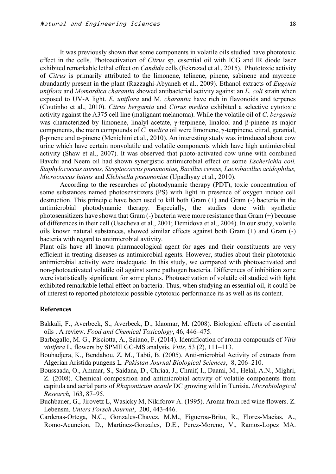It was previously shown that some components in volatile oils studied have phototoxic effect in the cells. Photoactivation of *Citrus* sp. essential oil with ICG and IR diode laser exhibited remarkable lethal effect on *Candida* cells (Fekrazad et al., 2015). Phototoxic activity of *Citrus* is primarily attributed to the limonene, telinene, pinene, sabinene and myrcene abundantly present in the plant (Razzaghi-Abyaneh et al., 2009). Ethanol extracts of *Eugenia uniflora* and *Momordica charantia* showed antibacterial activity against an *E. coli* strain when exposed to UV-A light. *E. uniflora* and M*. charantia* have rich in flavonoids and terpenes (Coutinho et al., 2010). *Citrus bergamia* and *Citrus medica* exhibited a selective cytotoxic activity against the A375 cell line (malignant melanoma). While the volatile oil of *C. bergamia* was characterized by limonene, linalyl acetate, γ-terpinene, linalool and β-pinene as major components, the main compounds of *C. medica* oil were limonene, γ-terpinene, citral, geranial, β-pinene and α-pinene (Menichini et al., 2010). An interesting study was introduced about cow urine which have certain nonvolatile and volatile components which have high antimicrobial activity (Shaw et al., 2007). It was observed that photo-activated cow urine with combined Bavchi and Neem oil had shown synergistic antimicrobial effect on some *Escherichia coli, Staphylococcus aureus, Streptococcus pneumoniae, Bacillus cereus, Lactobacillus acidophilus, Micrococcus luteus* and *Klebisella pneumoniae* (Upadhyay et al., 2010).

According to the researches of photodynamic therapy (PDT), toxic concentration of some substances named photosensitizers (PS) with light in presence of oxygen induce cell destruction. This principle have been used to kill both Gram (+) and Gram (-) bacteria in the antimicrobial photodynamic therapy. Especially, the studies done with synthetic photosensitizers have shown that Gram (-) bacteria were more resistance than Gram (+) because of differences in their cell (Usacheva et al., 2001; Demidova et al., 2004). In our study, volatile oils known natural substances, showed similar effects against both Gram (+) and Gram (-) bacteria with regard to antimicrobial avtivity.

Plant oils have all known pharmacological agent for ages and their constituents are very efficient in treating diseases as antimicrobial agents. However, studies about their phototoxic antimicrobial activity were inadequate. In this study, we compared with photoactivated and non-photoactivated volatile oil against some pathogen bacteria. Differences of inhibition zone were istatistically significant for some plants. Photoactivation of volatile oil studied with light exhibited remarkable lethal effect on bacteria. Thus, when studying an essential oil, it could be of interest to reported phototoxic possible cytotoxic performance its as well as its content.

#### **References**

- Bakkali, F., Averbeck, S., Averbeck, D., Idaomar, M. (2008). Biological effects of essential oils . A review. *Food and Chemical Toxicology*, 46, 446–475.
- Barbagallo, M. G., Pisciotta, A., Saiano, F. (2014). Identification of aroma compounds of *Vitis vinifera* L. flowers by SPME GC-MS analysis. *Vitis*, 53 (2), 111–113.
- Bouhadjera, K., Bendahou, Z. M., Tabti, B. (2005). Anti-microbial Activity of extracts from Algerian Aristida pungens L. *Pakistan Journal Biological Sciences*, 8, 206–210.
- Boussaada, O., Ammar, S., Saidana, D., Chriaa, J., Chraif, I., Daami, M., Helal, A.N., Mighri, Z. (2008). Chemical composition and antimicrobial activity of volatile components from capitula and aerial parts of *Rhaponticum acaule* DC growing wild in Tunisia. *Microbiological Research,* 163, 87–95.
- Buchbauer, G., Jirovetz L, Wasicky M, Nikiforov A. (1995). Aroma from red wine flowers. Z. Lebensm. *Unters Forsch Journal*, 200, 443-446.
- Cardenas-Ortega, N.C., Gonzales-Chavez, M.M., Figueroa-Brito, R., Flores-Macias, A., Romo-Acuncion, D., Martinez-Gonzales, D.E., Perez-Moreno, V., Ramos-Lopez MA.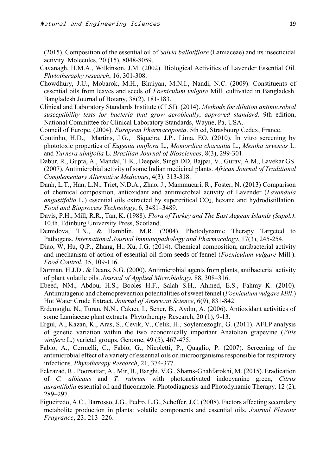(2015). Composition of the essential oil of *Salvia ballotiflore* (Lamiaceae) and its insecticidal activity. Molecules, 20 (15), 8048-8059.

- Cavanagh, H.M.A., Wilkinson, J.M. (2002). Biological Activities of Lavender Essential Oil. *Phytotheraphy research*, 16, 301-308.
- Chowdhury, J.U., Mobarok, M.H., Bhuiyan, M.N.I., Nandi, N.C. (2009). Constituents of essential oils from leaves and seeds of *Foeniculum vulgare* Mill. cultivated in Bangladesh. Bangladesh Journal of Botany, 38(2), 181-183.
- Clinical and Laboratory Standards Institute (CLSI). (2014). *Methods for dilution antimicrobial susceptibility tests for bacteria that grow aerobically*, *approved standard*. 9th edition, National Committee for Clinical Laboratory Standards, Wayne, Pa, USA.
- Council of Europe. (2004). *European Pharmacopoeia*. 5th ed, Strasbourg Cedex, France.
- Coutinho, H.D., Martins, J.G., Siqueira, J.P., Lima, EO. (2010). In vitro screening by phototoxic properties of *Eugenia uniflora* L., *Momordica charantia* L., *Mentha arvensis* L. and *Turnera ulmifolia* L. *Brazilian Journal of Biosciences*, 8(3), 299-301.
- Dabur, R., Gupta, A., Mandal, T.K., Deepak, Singh DD, Bajpai, V., Gurav, A.M., Lavekar GS. (2007). Antimicrobial activity of some Indian medicinal plants. *African Journal of Traditional Complementary Alternative Medicines*, 4(3): 313-318.
- Danh, L.T., Han, L.N., Triet, N.D.A., Zhao, J., Mammucari, R., Foster, N. (2013) Comparison of chemical composition, antioxidant and antimicrobial activity of Lavender (*Lavandula angustifolia* L.) essential oils extracted by supercritical CO<sub>2</sub>, hexane and hydrodistillation. *Food and Bioprocess Technology*, 6, 3481–3489.
- Davis, P.H., Mill, R.R., Tan, K. (1988). *Flora of Turkey and The East Aegean Islands (Suppl.)*. 10.th. Edinburg University Press, Scotland.
- Demidova, T.N., & Hamblin, M.R. (2004). Photodynamic Therapy Targeted to Pathogens. *International Journal Immunopathology and Pharmacology*, 17(3), 245-254.
- Diao, W, Hu, Q.P., Zhang, H., Xu, J.G. (2014). Chemical composition, antibacterial activity and mechanism of action of essential oil from seeds of fennel (*Foeniculum vulgare* Mill.). *Food Control*, 35, 109-116.
- Dorman, H.J.D., & Deans, S.G. (2000). Antimicrobial agents from plants, antibacterial activity of plant volatile oils. *Journal of Applied Microbiology*, 88, 308–316.
- Ebeed, NM., Abdou, H.S., Booles H.F., Salah S.H., Ahmed, E.S., Fahmy K. (2010). Antimutagenic and chemoprevention potentialities of sweet fennel (*Foeniculum vulgare Mill*.) Hot Water Crude Extract. *Journal of American Science*, 6(9), 831-842.
- Erdemoğlu, N., Turan, N.N., Cakıcı, I., Sener, B., Aydın, A. (2006). Antioxidant activities of some Lamiaceae plant extracts. Phytotherapy Research, 20 (1), 9-13.
- Ergul, A., Kazan, K., Aras, S., Cevik, V., Celik, H., Soylemezoglu, G. (2011). AFLP analysis of genetic variation within the two economically important Anatolian grapevine (*Vitis vinifera* L.) varietal groups. Genome, 49 (5), 467-475.
- Fabio, A., Cermelli, C., Fabio, G., Nicoletti, P., Quaglio, P. (2007). Screening of the antimicrobial effect of a variety of essential oils on microorganisms responsible for respiratory infections. *Phytotherapy Research*, 21, 374-377.
- Fekrazad, R., Poorsattar, A., Mir, B., Barghi, V.G., Shams-Ghahfarokhi, M. (2015). Eradication of *C. albicans* and *T. rubrum* with photoactivated indocyanine green, *Citrus aurantifolia* essential oil and fluconazole. Photodiagnosis and Photodynamic Therapy. 12 (2), 289–297.
- Figueiredo, A.C., Barrosso, J.G., Pedro, L.G., Scheffer, J.C. (2008). Factors affecting secondary metabolite production in plants: volatile components and essential oils. *Journal Flavour Fragrance*, 23, 213–226.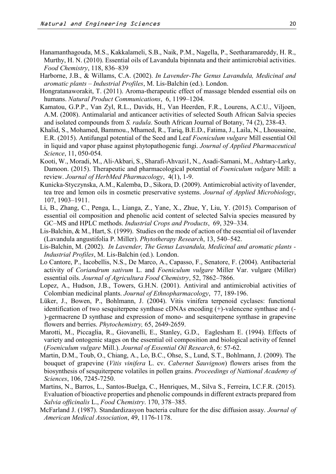- Hanamanthagouda, M.S., Kakkalameli, S.B., Naik, P.M., Nagella, P., Seetharamareddy, H. R., Murthy, H. N. (2010). Essential oils of Lavandula bipinnata and their antimicrobial activities. *Food Chemistry*, 118, 836–839
- Harborne, J.B., & Willams, C.A. (2002). *In Lavender-The Genus Lavandula, Medicinal and aromatic plants – Industrial Profiles*, M. Lis-Balchin (ed.). London.
- Hongratanaworakit, T. (2011). Aroma-therapeutic effect of massage blended essential oils on humans. *Natural Product Communications*, 6, 1199–1204.
- Kamatou, G.P.P., Van Zyl, R.L., Davids, H., Van Heerden, F.R., Lourens, A.C.U., Viljoen, A.M. (2008). Antimalarial and anticancer activities of selected South African Salvia species and isolated compounds from *S. radula*. South African Journal of Botany, 74 (2), 238-43.
- Khalid, S., Mohamed, Bammou., Mhamed, R., Tariq, B.E.D., Fatima, J., Laila, N., Lhoussaine, E.R. (2015). Antifungal potential of the Seed and Leaf *Foeniculum vulgare* Mill essential Oil in liquid and vapor phase against phytopathogenic fungi. *Journal of Applied Pharmaceutical Science*, 11, 050-054.
- Kooti, W., Moradi, M., Ali-Akbari, S., Sharafi-Ahvazi1, N., Asadi-Samani, M., Ashtary-Larky, Damoon. (2015). Therapeutic and pharmacological potential of *Foeniculum vulgare* Mill: a review. *Journal of HerbMed Pharmacology*, 4(1), 1-9.
- Kunicka-Styczynska, A.M., Kalemba, D., Sikora, D. (2009). Antimicrobial activity of lavender, tea tree and lemon oils in cosmetic preservative systems. *Journal of Applied Microbiology*, 107, 1903–1911.
- Li, B., Zhang, C., Penga, L., Lianga, Z., Yane, X., Zhue, Y, Liu, Y. (2015). Comparison of essential oil composition and phenolic acid content of selected Salvia species measured by GC–MS and HPLC methods. *Industrial Crops and Products*, 69, 329–334.
- Lis-Balchin, & M., Hart, S. (1999). Studies on the mode of action of the essential oil of lavender (Lavandula angustifolia P. Miller). *Phytotherapy Research*, 13, 540–542.
- Lis-Balchin, M. (2002). *In Lavender, The Genus Lavandula, Medicinal and aromatic plants - Industrial Profiles*, M. Lis-Balchin (ed.). London.
- Lo Cantore, P., Iacobellis, N.S., De Marco, A., Capasso, F., Senatore, F. (2004). Antibacterial activity of *Coriandrum sativum* L. and *Foeniculum vulgare* Miller Var. vulgare (Miller) essential oils. *Journal of Agricultura Food Chemistry*, 52, 7862–7866.
- Lopez, A., Hudson, J.B., Towers, G.H.N. (2001). Antiviral and antimicrobial activities of Colombian medicinal plants. *Journal of Ethnopharmacology*, 77, 189-196.
- Lüker, J., Bowen, P., Bohlmann, J. (2004). Vitis vinifera terpenoid cyclases: functional identification of two sesquiterpene synthase cDNAs encoding (+)-valencene synthase and (- )-germacrene D synthase and expression of mono- and sesquiterpene synthase in grapevine flowers and berries. *Phytochemistry,* 65, 2649-2659.
- Marotti, M., Piccaglia, R., Giovanelli, E., Stanley, G.D., Eaglesham E. (1994). Effects of variety and ontogenic stages on the essential oil composition and biological activity of fennel (*Foeniculum vulgare* Mill.). *Journal of Essential Oil Research*, 6: 57-62.
- Martin, D.M., Toub, O., Chiang, A., Lo, B.C., Ohse, S., Lund, S.T., Bohlmann, J. (2009). The bouquet of grapevine (*Vitis vinifera* L. cv. *Cabernet Sauvignon*) flowers arises from the biosynthesis of sesquiterpene volatiles in pollen grains. *Proceedings of Nattional Academy of Sciences*, 106, 7245-7250.
- Martins, N., Barros, L., Santos-Buelga, C., Henriques, M., Silva S., Ferreira, I.C.F.R. (2015). Evaluation of bioactive properties and phenolic compounds in different extracts prepared from *Salvia officinalis* L., *Food Chemistry*. 170, 378–385.
- McFarland J. (1987). Standardizasyon bacteria culture for the disc diffusion assay. *Journal of American Medical Association*, 49, 1176-1178.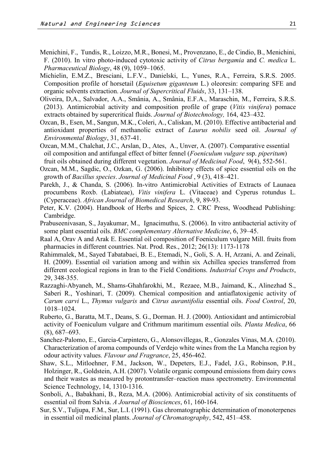- Menichini, F., Tundis, R., Loizzo, M.R., Bonesi, M., Provenzano, E., de Cindio, B., Menichini, F. (2010). In vitro photo-induced cytotoxic activity of *Citrus bergamia* and *C. medica* L. *Pharmaceutical Biology*, 48 (9), 1059–1065.
- Michielin, E.M.Z., Bresciani, L.F.V., Danielski, L., Yunes, R.A., Ferreira, S.R.S. 2005. Composition profile of horsetail (*Equisetum giganteum* L.) oleoresin: comparing SFE and organic solvents extraction. *Journal of Supercritical Fluids*, 33, 131–138.
- Oliveira, D,A., Salvador, A.A., Smânia, A., Smânia, E.F.A., Maraschin, M., Ferreira, S.R.S. (2013). Antimicrobial activity and composition profile of grape (*Vitis vinifera*) pomace extracts obtained by supercritical fluids. *Journal of Biotechnology,* 164, 423–432.
- Ozcan, B., Esen, M., Sangun, M.K., Coleri, A., Caliskan, M. (2010). Effective antibacterial and antioxidant properties of methanolic extract of *Laurus nobilis* seed oil. *Journal of Environmental Biology*, 31, 637-41.
- Ozcan, M.M., Chalchat, J.C., Arslan, D., Ates, A., Unver, A. (2007). Comparative essential oil composition and antifungal effect of bitter fennel (*Foeniculum vulgare* ssp. *piperitum*) fruit oils obtained during different vegetation. *Journal of Medicinal Food*, 9(4), 552-561.
- Ozcan, M.M., Sagdic, O., Ozkan, G. (2006). Inhibitory effects of spice essential oils on the growth of *Bacillus species*. *Journal of Medicinal Food* , 9 (3), 418–421.
- Parekh, J., & Chanda, S. (2006). In-vitro Antimicrobial Activities of Extracts of Launaea procumbens Roxb. (Labiateae), *Vitis vinifera* L. (Vitaceae) and Cyperus rotundus L. (Cyperaceae). *African Journal of Biomedical Research*, 9, 89-93.
- Peter, K.V. (2004). Handbook of Herbs and Spices, 2. CRC Press, Woodhead Publishing: Cambridge.
- Prabuseenivasan, S., Jayakumar, M., Ignacimuthu, S. (2006). In vitro antibacterial activity of some plant essential oils. *BMC complementary Alternative Medicine*, 6, 39–45.
- Raal A, Orav A and Arak E. Essential oil composition of Foeniculum vulgare Mill. fruits from pharmacies in different countries. Nat. Prod. Res., 2012; 26(13): 1173-1178
- Rahimmalek, M., Sayed Tabatabaei, B. E., Etemadi, N., Goli, S. A. H, Arzani, A. and Zeinali, H. (2009). Essential oil variation among and within six Achillea species transferred from different ecological regions in Iran to the Field Conditions. *Industrial Crops and Products*, 29, 348-355.
- Razzaghi-Abyaneh, M., Shams-Ghahfarokhi, M., Rezaee, M.B., Jaimand, K., Alinezhad S., Saberi R., Yoshinari, T. (2009). Chemical composition and antiaflatoxigenic activity of *Carum carvi* L., *Thymus vulgaris* and *Citrus aurantifolia* essential oils. *Food Control*, 20, 1018–1024.
- Ruberto, G., Baratta, M.T., Deans, S. G., Dorman. H. J. (2000). Antioxidant and antimicrobial activity of Foeniculum vulgare and Crithmum maritimum essential oils. *Planta Medica*, 66 (8), 687–693.
- Sanchez-Palomo, E., Garcia-Carpintero, G., Alonsovillegas, R., Gonzales Vinas, M.A. (2010). Characterization of aroma compounds of Verdejo white wines from the La Mancha region by odour activity values*. Flavour and Fragrance*, 25, 456-462.
- Shaw, S.L., Mitloehner, F.M., Jackson, W., Depeters, E.J., Fadel, J.G., Robinson, P.H., Holzinger, R., Goldstein, A.H. (2007). Volatile organic compound emissions from dairy cows and their wastes as measured by protontransfer–reaction mass spectrometry. Environmental Science Technology, 14, 1310-1316.
- Sonboli, A., Babakhani, B., Reza, M.A. (2006). Antimicrobial activity of six constituents of essential oil from Salvia. *A Journal of Biosciences*, 61, 160-164.
- Sur, S.V., Tuljupa, F.M., Sur, L.I. (1991). Gas chromatographic determination of monoterpenes in essential oil medicinal plants. *Journal of Chromatography*, 542, 451–458.